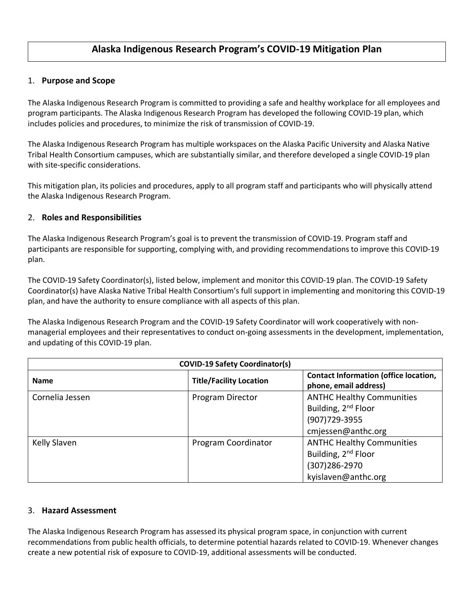# **Alaska Indigenous Research Program's COVID-19 Mitigation Plan**

### 1. **Purpose and Scope**

The Alaska Indigenous Research Program is committed to providing a safe and healthy workplace for all employees and program participants. The Alaska Indigenous Research Program has developed the following COVID-19 plan, which includes policies and procedures, to minimize the risk of transmission of COVID-19.

The Alaska Indigenous Research Program has multiple workspaces on the Alaska Pacific University and Alaska Native Tribal Health Consortium campuses, which are substantially similar, and therefore developed a single COVID-19 plan with site-specific considerations.

This mitigation plan, its policies and procedures, apply to all program staff and participants who will physically attend the Alaska Indigenous Research Program.

### 2. **Roles and Responsibilities**

The Alaska Indigenous Research Program's goal is to prevent the transmission of COVID-19. Program staff and participants are responsible for supporting, complying with, and providing recommendations to improve this COVID-19 plan.

The COVID-19 Safety Coordinator(s), listed below, implement and monitor this COVID-19 plan. The COVID-19 Safety Coordinator(s) have Alaska Native Tribal Health Consortium's full support in implementing and monitoring this COVID-19 plan, and have the authority to ensure compliance with all aspects of this plan.

The Alaska Indigenous Research Program and the COVID-19 Safety Coordinator will work cooperatively with nonmanagerial employees and their representatives to conduct on-going assessments in the development, implementation, and updating of this COVID-19 plan.

| <b>COVID-19 Safety Coordinator(s)</b> |                                |                                                                                                              |  |
|---------------------------------------|--------------------------------|--------------------------------------------------------------------------------------------------------------|--|
| <b>Name</b>                           | <b>Title/Facility Location</b> | <b>Contact Information (office location,</b><br>phone, email address)                                        |  |
| Cornelia Jessen                       | Program Director               | <b>ANTHC Healthy Communities</b><br>Building, 2 <sup>nd</sup> Floor<br>(907) 729-3955<br>cmjessen@anthc.org  |  |
| Kelly Slaven                          | Program Coordinator            | <b>ANTHC Healthy Communities</b><br>Building, 2 <sup>nd</sup> Floor<br>(307) 286-2970<br>kyislaven@anthc.org |  |

# 3. **Hazard Assessment**

The Alaska Indigenous Research Program has assessed its physical program space, in conjunction with current recommendations from public health officials, to determine potential hazards related to COVID-19. Whenever changes create a new potential risk of exposure to COVID-19, additional assessments will be conducted.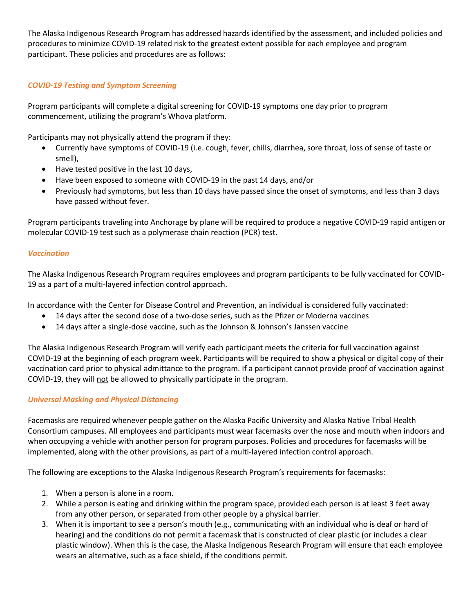The Alaska Indigenous Research Program has addressed hazards identified by the assessment, and included policies and procedures to minimize COVID-19 related risk to the greatest extent possible for each employee and program participant. These policies and procedures are as follows:

# *COVID-19 Testing and Symptom Screening*

Program participants will complete a digital screening for COVID-19 symptoms one day prior to program commencement, utilizing the program's Whova platform.

Participants may not physically attend the program if they:

- Currently have symptoms of COVID-19 (i.e. cough, fever, chills, diarrhea, sore throat, loss of sense of taste or smell),
- Have tested positive in the last 10 days,
- Have been exposed to someone with COVID-19 in the past 14 days, and/or
- Previously had symptoms, but less than 10 days have passed since the onset of symptoms, and less than 3 days have passed without fever.

Program participants traveling into Anchorage by plane will be required to produce a negative COVID-19 rapid antigen or molecular COVID-19 test such as a polymerase chain reaction (PCR) test.

### *Vaccination*

The Alaska Indigenous Research Program requires employees and program participants to be fully vaccinated for COVID-19 as a part of a multi-layered infection control approach.

In accordance with the Center for Disease Control and Prevention, an individual is considered fully vaccinated:

- 14 days after the second dose of a two-dose series, such as the Pfizer or Moderna vaccines
- 14 days after a single-dose vaccine, such as the Johnson & Johnson's Janssen vaccine

The Alaska Indigenous Research Program will verify each participant meets the criteria for full vaccination against COVID-19 at the beginning of each program week. Participants will be required to show a physical or digital copy of their vaccination card prior to physical admittance to the program. If a participant cannot provide proof of vaccination against COVID-19, they will not be allowed to physically participate in the program.

#### *Universal Masking and Physical Distancing*

Facemasks are required whenever people gather on the Alaska Pacific University and Alaska Native Tribal Health Consortium campuses. All employees and participants must wear facemasks over the nose and mouth when indoors and when occupying a vehicle with another person for program purposes. Policies and procedures for facemasks will be implemented, along with the other provisions, as part of a multi-layered infection control approach.

The following are exceptions to the Alaska Indigenous Research Program's requirements for facemasks:

- 1. When a person is alone in a room.
- 2. While a person is eating and drinking within the program space, provided each person is at least 3 feet away from any other person, or separated from other people by a physical barrier.
- 3. When it is important to see a person's mouth (e.g., communicating with an individual who is deaf or hard of hearing) and the conditions do not permit a facemask that is constructed of clear plastic (or includes a clear plastic window). When this is the case, the Alaska Indigenous Research Program will ensure that each employee wears an alternative, such as a face shield, if the conditions permit.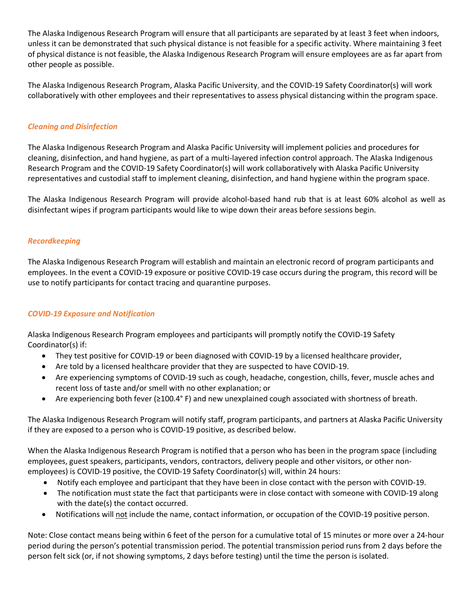The Alaska Indigenous Research Program will ensure that all participants are separated by at least 3 feet when indoors, unless it can be demonstrated that such physical distance is not feasible for a specific activity. Where maintaining 3 feet of physical distance is not feasible, the Alaska Indigenous Research Program will ensure employees are as far apart from other people as possible.

The Alaska Indigenous Research Program, Alaska Pacific University, and the COVID-19 Safety Coordinator(s) will work collaboratively with other employees and their representatives to assess physical distancing within the program space.

### *Cleaning and Disinfection*

The Alaska Indigenous Research Program and Alaska Pacific University will implement policies and procedures for cleaning, disinfection, and hand hygiene, as part of a multi-layered infection control approach. The Alaska Indigenous Research Program and the COVID-19 Safety Coordinator(s) will work collaboratively with Alaska Pacific University representatives and custodial staff to implement cleaning, disinfection, and hand hygiene within the program space.

The Alaska Indigenous Research Program will provide alcohol-based hand rub that is at least 60% alcohol as well as disinfectant wipes if program participants would like to wipe down their areas before sessions begin.

#### *Recordkeeping*

The Alaska Indigenous Research Program will establish and maintain an electronic record of program participants and employees. In the event a COVID-19 exposure or positive COVID-19 case occurs during the program, this record will be use to notify participants for contact tracing and quarantine purposes.

# *COVID-19 Exposure and Notification*

Alaska Indigenous Research Program employees and participants will promptly notify the COVID-19 Safety Coordinator(s) if:

- They test positive for COVID-19 or been diagnosed with COVID-19 by a licensed healthcare provider,
- Are told by a licensed healthcare provider that they are suspected to have COVID-19.
- Are experiencing symptoms of COVID-19 such as cough, headache, congestion, chills, fever, muscle aches and recent loss of taste and/or smell with no other explanation; or
- Are experiencing both fever (≥100.4° F) and new unexplained cough associated with shortness of breath.

The Alaska Indigenous Research Program will notify staff, program participants, and partners at Alaska Pacific University if they are exposed to a person who is COVID-19 positive, as described below.

When the Alaska Indigenous Research Program is notified that a person who has been in the program space (including employees, guest speakers, participants, vendors, contractors, delivery people and other visitors, or other nonemployees) is COVID-19 positive, the COVID-19 Safety Coordinator(s) will, within 24 hours:

- Notify each employee and participant that they have been in close contact with the person with COVID-19.
- The notification must state the fact that participants were in close contact with someone with COVID-19 along with the date(s) the contact occurred.
- Notifications will not include the name, contact information, or occupation of the COVID-19 positive person.

Note: Close contact means being within 6 feet of the person for a cumulative total of 15 minutes or more over a 24-hour period during the person's potential transmission period. The potential transmission period runs from 2 days before the person felt sick (or, if not showing symptoms, 2 days before testing) until the time the person is isolated.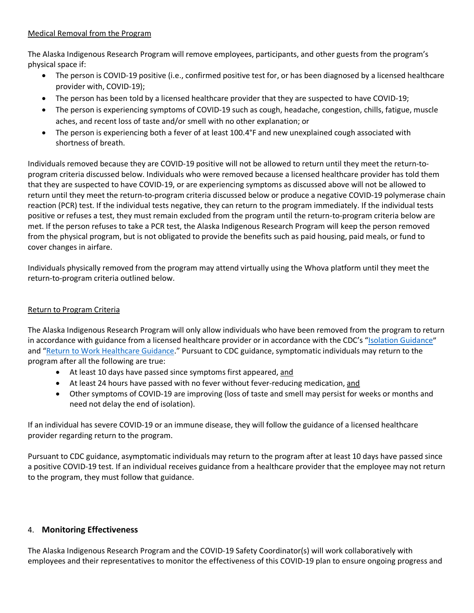### Medical Removal from the Program

The Alaska Indigenous Research Program will remove employees, participants, and other guests from the program's physical space if:

- The person is COVID-19 positive (i.e., confirmed positive test for, or has been diagnosed by a licensed healthcare provider with, COVID-19);
- The person has been told by a licensed healthcare provider that they are suspected to have COVID-19;
- The person is experiencing symptoms of COVID-19 such as cough, headache, congestion, chills, fatigue, muscle aches, and recent loss of taste and/or smell with no other explanation; or
- The person is experiencing both a fever of at least 100.4°F and new unexplained cough associated with shortness of breath.

Individuals removed because they are COVID-19 positive will not be allowed to return until they meet the return-toprogram criteria discussed below. Individuals who were removed because a licensed healthcare provider has told them that they are suspected to have COVID-19, or are experiencing symptoms as discussed above will not be allowed to return until they meet the return-to-program criteria discussed below or produce a negative COVID-19 polymerase chain reaction (PCR) test. If the individual tests negative, they can return to the program immediately. If the individual tests positive or refuses a test, they must remain excluded from the program until the return-to-program criteria below are met. If the person refuses to take a PCR test, the Alaska Indigenous Research Program will keep the person removed from the physical program, but is not obligated to provide the benefits such as paid housing, paid meals, or fund to cover changes in airfare.

Individuals physically removed from the program may attend virtually using the Whova platform until they meet the return-to-program criteria outlined below.

# Return to Program Criteria

The Alaska Indigenous Research Program will only allow individuals who have been removed from the program to return in accordance with guidance from a licensed healthcare provider or in accordance with the CDC's ["Isolation Guidance"](https://www.osha.gov/sites/default/files/CDC) and ["Return to Work Healthcare Guidance.](https://www.osha.gov/sites/default/files/CDC)" Pursuant to CDC guidance, symptomatic individuals may return to the program after all the following are true:

- At least 10 days have passed since symptoms first appeared, and
- At least 24 hours have passed with no fever without fever-reducing medication, and
- Other symptoms of COVID-19 are improving (loss of taste and smell may persist for weeks or months and need not delay the end of isolation).

If an individual has severe COVID-19 or an immune disease, they will follow the guidance of a licensed healthcare provider regarding return to the program.

Pursuant to CDC guidance, asymptomatic individuals may return to the program after at least 10 days have passed since a positive COVID-19 test. If an individual receives guidance from a healthcare provider that the employee may not return to the program, they must follow that guidance.

# 4. **Monitoring Effectiveness**

The Alaska Indigenous Research Program and the COVID-19 Safety Coordinator(s) will work collaboratively with employees and their representatives to monitor the effectiveness of this COVID-19 plan to ensure ongoing progress and